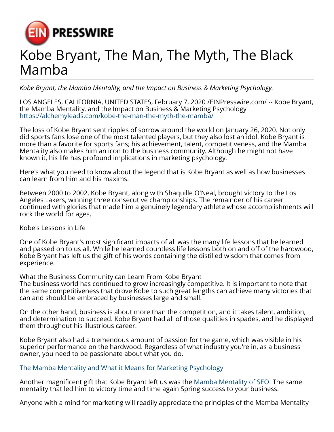

## Kobe Bryant, The Man, The Myth, The Black Mamba

*Kobe Bryant, the Mamba Mentality, and the Impact on Business & Marketing Psychology.*

LOS ANGELES, CALIFORNIA, UNITED STATES, February 7, 2020 /[EINPresswire.com/](http://www.einpresswire.com) -- Kobe Bryant, the Mamba Mentality, and the Impact on Business & Marketing Psychology <https://alchemyleads.com/kobe-the-man-the-myth-the-mamba/>

The loss of Kobe Bryant sent ripples of sorrow around the world on January 26, 2020. Not only did sports fans lose one of the most talented players, but they also lost an idol. Kobe Bryant is more than a favorite for sports fans; his achievement, talent, competitiveness, and the Mamba Mentality also makes him an icon to the business community. Although he might not have known it, his life has profound implications in marketing psychology.

Here's what you need to know about the legend that is Kobe Bryant as well as how businesses can learn from him and his maxims.

Between 2000 to 2002, Kobe Bryant, along with Shaquille O'Neal, brought victory to the Los Angeles Lakers, winning three consecutive championships. The remainder of his career continued with glories that made him a genuinely legendary athlete whose accomplishments will rock the world for ages.

Kobe's Lessons in Life

One of Kobe Bryant's most significant impacts of all was the many life lessons that he learned and passed on to us all. While he learned countless life lessons both on and off of the hardwood, Kobe Bryant has left us the gift of his words containing the distilled wisdom that comes from experience.

What the Business Community can Learn From Kobe Bryant

The business world has continued to grow increasingly competitive. It is important to note that the same competitiveness that drove Kobe to such great lengths can achieve many victories that can and should be embraced by businesses large and small.

On the other hand, business is about more than the competition, and it takes talent, ambition, and determination to succeed. Kobe Bryant had all of those qualities in spades, and he displayed them throughout his illustrious career.

Kobe Bryant also had a tremendous amount of passion for the game, which was visible in his superior performance on the hardwood. Regardless of what industry you're in, as a business owner, you need to be passionate about what you do.

[The Mamba Mentality and What it Means for Marketing Psychology](https://alchemyleads.com/kobe-the-man-the-myth-the-mamba/)

Another magnificent gift that Kobe Bryant left us was the [Mamba Mentality of SEO.](https://alchemyleads.com/call/) The same mentality that led him to victory time and time again Spring success to your business.

Anyone with a mind for marketing will readily appreciate the principles of the Mamba Mentality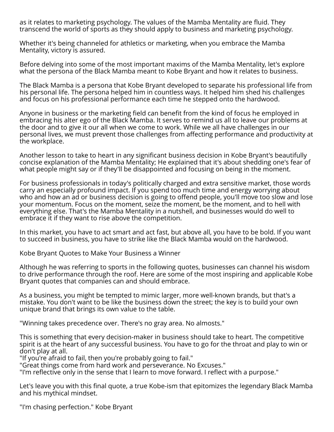as it relates to marketing psychology. The values of the Mamba Mentality are fluid. They transcend the world of sports as they should apply to business and marketing psychology.

Whether it's being channeled for athletics or marketing, when you embrace the Mamba Mentality, victory is assured.

Before delving into some of the most important maxims of the Mamba Mentality, let's explore what the persona of the Black Mamba meant to Kobe Bryant and how it relates to business.

The Black Mamba is a persona that Kobe Bryant developed to separate his professional life from his personal life. The persona helped him in countless ways. It helped him shed his challenges and focus on his professional performance each time he stepped onto the hardwood.

Anyone in business or the marketing field can benefit from the kind of focus he employed in embracing his alter ego of the Black Mamba. It serves to remind us all to leave our problems at the door and to give it our all when we come to work. While we all have challenges in our personal lives, we must prevent those challenges from affecting performance and productivity at the workplace.

Another lesson to take to heart in any significant business decision in Kobe Bryant's beautifully concise explanation of the Mamba Mentality; He explained that it's about shedding one's fear of what people might say or if they'll be disappointed and focusing on being in the moment.

For business professionals in today's politically charged and extra sensitive market, those words carry an especially profound impact. If you spend too much time and energy worrying about who and how an ad or business decision is going to offend people, you'll move too slow and lose your momentum. Focus on the moment, seize the moment, be the moment, and to hell with everything else. That's the Mamba Mentality in a nutshell, and businesses would do well to embrace it if they want to rise above the competition.

In this market, you have to act smart and act fast, but above all, you have to be bold. If you want to succeed in business, you have to strike like the Black Mamba would on the hardwood.

Kobe Bryant Quotes to Make Your Business a Winner

Although he was referring to sports in the following quotes, businesses can channel his wisdom to drive performance through the roof. Here are some of the most inspiring and applicable Kobe Bryant quotes that companies can and should embrace.

As a business, you might be tempted to mimic larger, more well-known brands, but that's a mistake. You don't want to be like the business down the street; the key is to build your own unique brand that brings its own value to the table.

"Winning takes precedence over. There's no gray area. No almosts."

This is something that every decision-maker in business should take to heart. The competitive spirit is at the heart of any successful business. You have to go for the throat and play to win or don't play at all.

"If you're afraid to fail, then you're probably going to fail."

"Great things come from hard work and perseverance. No Excuses."

"I'm reflective only in the sense that I learn to move forward. I reflect with a purpose."

Let's leave you with this final quote, a true Kobe-ism that epitomizes the legendary Black Mamba and his mythical mindset.

"I'm chasing perfection." Kobe Bryant